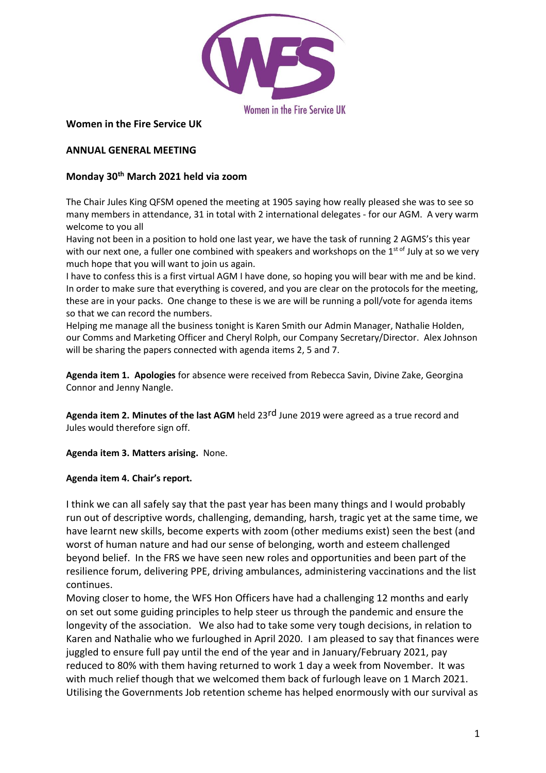

#### **Women in the Fire Service UK**

#### **ANNUAL GENERAL MEETING**

## **Monday 30th March 2021 held via zoom**

The Chair Jules King QFSM opened the meeting at 1905 saying how really pleased she was to see so many members in attendance, 31 in total with 2 international delegates - for our AGM. A very warm welcome to you all

Having not been in a position to hold one last year, we have the task of running 2 AGMS's this year with our next one, a fuller one combined with speakers and workshops on the  $1^{st \text{ of } J}$ uly at so we very much hope that you will want to join us again.

I have to confess this is a first virtual AGM I have done, so hoping you will bear with me and be kind. In order to make sure that everything is covered, and you are clear on the protocols for the meeting, these are in your packs. One change to these is we are will be running a poll/vote for agenda items so that we can record the numbers.

Helping me manage all the business tonight is Karen Smith our Admin Manager, Nathalie Holden, our Comms and Marketing Officer and Cheryl Rolph, our Company Secretary/Director. Alex Johnson will be sharing the papers connected with agenda items 2, 5 and 7.

**Agenda item 1. Apologies** for absence were received from Rebecca Savin, Divine Zake, Georgina Connor and Jenny Nangle.

**Agenda item 2. Minutes of the last AGM** held 23rd June 2019 were agreed as a true record and Jules would therefore sign off.

**Agenda item 3. Matters arising.** None.

#### **Agenda item 4. Chair's report.**

I think we can all safely say that the past year has been many things and I would probably run out of descriptive words, challenging, demanding, harsh, tragic yet at the same time, we have learnt new skills, become experts with zoom (other mediums exist) seen the best (and worst of human nature and had our sense of belonging, worth and esteem challenged beyond belief. In the FRS we have seen new roles and opportunities and been part of the resilience forum, delivering PPE, driving ambulances, administering vaccinations and the list continues.

Moving closer to home, the WFS Hon Officers have had a challenging 12 months and early on set out some guiding principles to help steer us through the pandemic and ensure the longevity of the association. We also had to take some very tough decisions, in relation to Karen and Nathalie who we furloughed in April 2020. I am pleased to say that finances were juggled to ensure full pay until the end of the year and in January/February 2021, pay reduced to 80% with them having returned to work 1 day a week from November. It was with much relief though that we welcomed them back of furlough leave on 1 March 2021. Utilising the Governments Job retention scheme has helped enormously with our survival as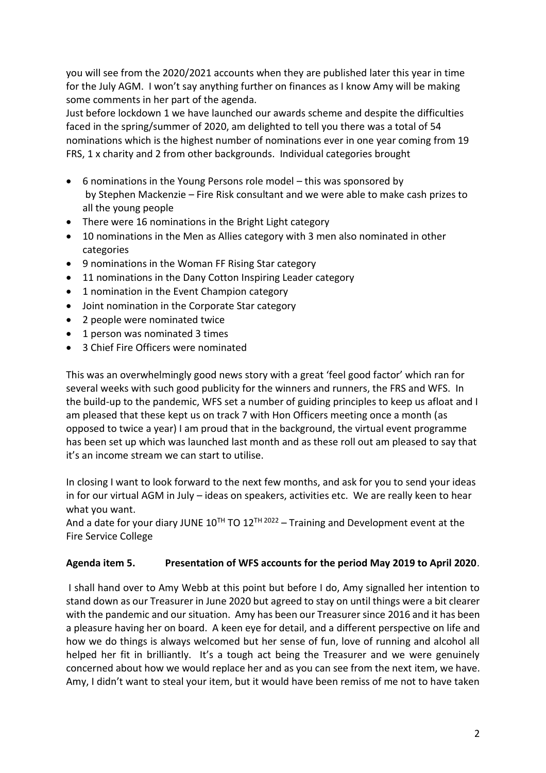you will see from the 2020/2021 accounts when they are published later this year in time for the July AGM. I won't say anything further on finances as I know Amy will be making some comments in her part of the agenda.

Just before lockdown 1 we have launched our awards scheme and despite the difficulties faced in the spring/summer of 2020, am delighted to tell you there was a total of 54 nominations which is the highest number of nominations ever in one year coming from 19 FRS, 1 x charity and 2 from other backgrounds. Individual categories brought

- 6 nominations in the Young Persons role model this was sponsored by by Stephen Mackenzie – Fire Risk consultant and we were able to make cash prizes to all the young people
- There were 16 nominations in the Bright Light category
- 10 nominations in the Men as Allies category with 3 men also nominated in other categories
- 9 nominations in the Woman FF Rising Star category
- 11 nominations in the Dany Cotton Inspiring Leader category
- 1 nomination in the Event Champion category
- Joint nomination in the Corporate Star category
- 2 people were nominated twice
- 1 person was nominated 3 times
- 3 Chief Fire Officers were nominated

This was an overwhelmingly good news story with a great 'feel good factor' which ran for several weeks with such good publicity for the winners and runners, the FRS and WFS. In the build-up to the pandemic, WFS set a number of guiding principles to keep us afloat and I am pleased that these kept us on track 7 with Hon Officers meeting once a month (as opposed to twice a year) I am proud that in the background, the virtual event programme has been set up which was launched last month and as these roll out am pleased to say that it's an income stream we can start to utilise.

In closing I want to look forward to the next few months, and ask for you to send your ideas in for our virtual AGM in July – ideas on speakers, activities etc. We are really keen to hear what you want.

And a date for your diary JUNE  $10^{TH}$  TO  $12^{TH}$   $2022 -$  Training and Development event at the Fire Service College

## **Agenda item 5. Presentation of WFS accounts for the period May 2019 to April 2020**.

I shall hand over to Amy Webb at this point but before I do, Amy signalled her intention to stand down as our Treasurer in June 2020 but agreed to stay on until things were a bit clearer with the pandemic and our situation. Amy has been our Treasurer since 2016 and it has been a pleasure having her on board. A keen eye for detail, and a different perspective on life and how we do things is always welcomed but her sense of fun, love of running and alcohol all helped her fit in brilliantly. It's a tough act being the Treasurer and we were genuinely concerned about how we would replace her and as you can see from the next item, we have. Amy, I didn't want to steal your item, but it would have been remiss of me not to have taken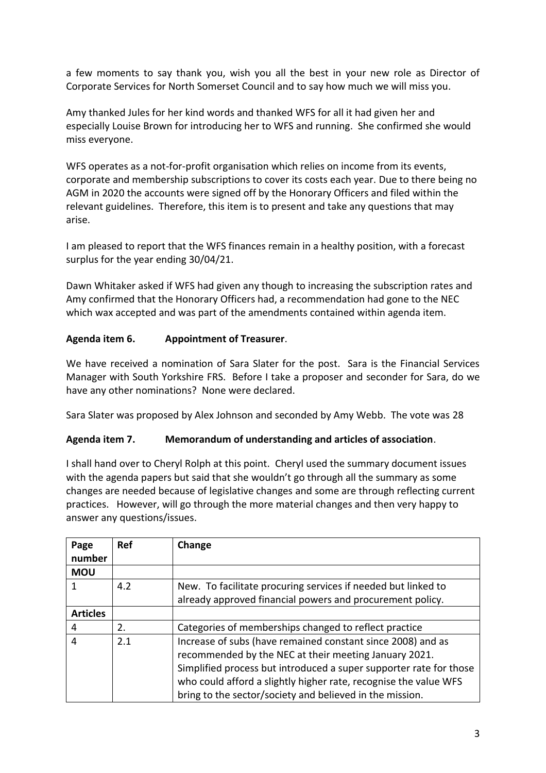a few moments to say thank you, wish you all the best in your new role as Director of Corporate Services for North Somerset Council and to say how much we will miss you.

Amy thanked Jules for her kind words and thanked WFS for all it had given her and especially Louise Brown for introducing her to WFS and running. She confirmed she would miss everyone.

WFS operates as a not-for-profit organisation which relies on income from its events, corporate and membership subscriptions to cover its costs each year. Due to there being no AGM in 2020 the accounts were signed off by the Honorary Officers and filed within the relevant guidelines. Therefore, this item is to present and take any questions that may arise.

I am pleased to report that the WFS finances remain in a healthy position, with a forecast surplus for the year ending 30/04/21.

Dawn Whitaker asked if WFS had given any though to increasing the subscription rates and Amy confirmed that the Honorary Officers had, a recommendation had gone to the NEC which wax accepted and was part of the amendments contained within agenda item.

# **Agenda item 6. Appointment of Treasurer**.

We have received a nomination of Sara Slater for the post. Sara is the Financial Services Manager with South Yorkshire FRS. Before I take a proposer and seconder for Sara, do we have any other nominations? None were declared.

Sara Slater was proposed by Alex Johnson and seconded by Amy Webb. The vote was 28

## **Agenda item 7. Memorandum of understanding and articles of association**.

I shall hand over to Cheryl Rolph at this point. Cheryl used the summary document issues with the agenda papers but said that she wouldn't go through all the summary as some changes are needed because of legislative changes and some are through reflecting current practices. However, will go through the more material changes and then very happy to answer any questions/issues.

| Page<br>number  | <b>Ref</b> | Change                                                                                                                                                                                                                                                                                                                     |
|-----------------|------------|----------------------------------------------------------------------------------------------------------------------------------------------------------------------------------------------------------------------------------------------------------------------------------------------------------------------------|
| <b>MOU</b>      |            |                                                                                                                                                                                                                                                                                                                            |
|                 | 4.2        | New. To facilitate procuring services if needed but linked to                                                                                                                                                                                                                                                              |
|                 |            | already approved financial powers and procurement policy.                                                                                                                                                                                                                                                                  |
| <b>Articles</b> |            |                                                                                                                                                                                                                                                                                                                            |
| 4               | 2.         | Categories of memberships changed to reflect practice                                                                                                                                                                                                                                                                      |
| 4               | 2.1        | Increase of subs (have remained constant since 2008) and as<br>recommended by the NEC at their meeting January 2021.<br>Simplified process but introduced a super supporter rate for those<br>who could afford a slightly higher rate, recognise the value WFS<br>bring to the sector/society and believed in the mission. |